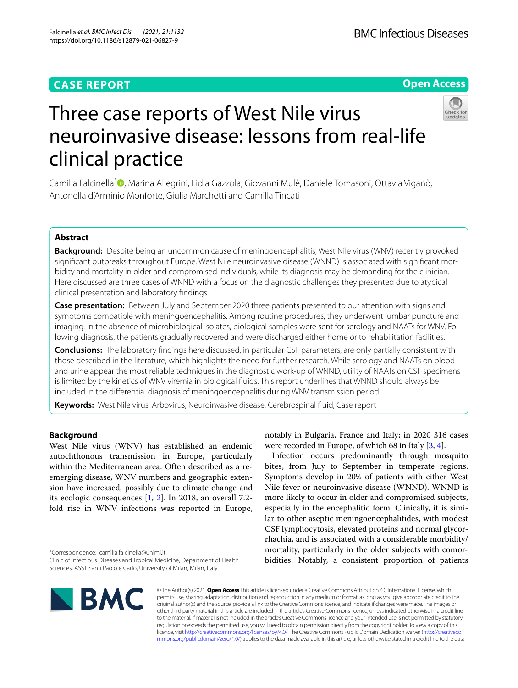# **CASE REPORT**

# **Open Access**



# Three case reports of West Nile virus neuroinvasive disease: lessons from real-life clinical practice

Camilla Falcinella<sup>\*</sup><sup>®</sup>[,](http://orcid.org/0000-0003-1821-558X) Marina Allegrini, Lidia Gazzola, Giovanni Mulè, Daniele Tomasoni, Ottavia Viganò, Antonella d'Arminio Monforte, Giulia Marchetti and Camilla Tincati

# **Abstract**

**Background:** Despite being an uncommon cause of meningoencephalitis, West Nile virus (WNV) recently provoked signifcant outbreaks throughout Europe. West Nile neuroinvasive disease (WNND) is associated with signifcant morbidity and mortality in older and compromised individuals, while its diagnosis may be demanding for the clinician. Here discussed are three cases of WNND with a focus on the diagnostic challenges they presented due to atypical clinical presentation and laboratory fndings.

**Case presentation:** Between July and September 2020 three patients presented to our attention with signs and symptoms compatible with meningoencephalitis. Among routine procedures, they underwent lumbar puncture and imaging. In the absence of microbiological isolates, biological samples were sent for serology and NAATs for WNV. Following diagnosis, the patients gradually recovered and were discharged either home or to rehabilitation facilities.

**Conclusions:** The laboratory fndings here discussed, in particular CSF parameters, are only partially consistent with those described in the literature, which highlights the need for further research. While serology and NAATs on blood and urine appear the most reliable techniques in the diagnostic work-up of WNND, utility of NAATs on CSF specimens is limited by the kinetics of WNV viremia in biological fuids. This report underlines that WNND should always be included in the diferential diagnosis of meningoencephalitis during WNV transmission period.

**Keywords:** West Nile virus, Arbovirus, Neuroinvasive disease, Cerebrospinal fuid, Case report

# **Background**

West Nile virus (WNV) has established an endemic autochthonous transmission in Europe, particularly within the Mediterranean area. Often described as a reemerging disease, WNV numbers and geographic extension have increased, possibly due to climate change and its ecologic consequences [[1,](#page-5-0) [2](#page-5-1)]. In 2018, an overall 7.2 fold rise in WNV infections was reported in Europe,

\*Correspondence: camilla.falcinella@unimi.it



bites, from July to September in temperate regions. Symptoms develop in 20% of patients with either West Nile fever or neuroinvasive disease (WNND). WNND is more likely to occur in older and compromised subjects, especially in the encephalitic form. Clinically, it is similar to other aseptic meningoencephalitides, with modest CSF lymphocytosis, elevated proteins and normal glycorrhachia, and is associated with a considerable morbidity/ mortality, particularly in the older subjects with comorbidities. Notably, a consistent proportion of patients



© The Author(s) 2021. **Open Access** This article is licensed under a Creative Commons Attribution 4.0 International License, which permits use, sharing, adaptation, distribution and reproduction in any medium or format, as long as you give appropriate credit to the original author(s) and the source, provide a link to the Creative Commons licence, and indicate if changes were made. The images or other third party material in this article are included in the article's Creative Commons licence, unless indicated otherwise in a credit line to the material. If material is not included in the article's Creative Commons licence and your intended use is not permitted by statutory regulation or exceeds the permitted use, you will need to obtain permission directly from the copyright holder. To view a copy of this licence, visit [http://creativecommons.org/licenses/by/4.0/.](http://creativecommons.org/licenses/by/4.0/) The Creative Commons Public Domain Dedication waiver ([http://creativeco](http://creativecommons.org/publicdomain/zero/1.0/) [mmons.org/publicdomain/zero/1.0/](http://creativecommons.org/publicdomain/zero/1.0/)) applies to the data made available in this article, unless otherwise stated in a credit line to the data.

Clinic of Infectious Diseases and Tropical Medicine, Department of Health Sciences, ASST Santi Paolo e Carlo, University of Milan, Milan, Italy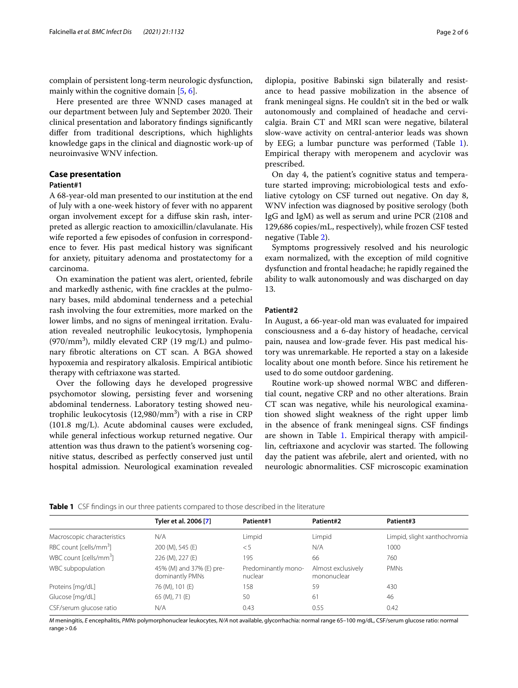complain of persistent long-term neurologic dysfunction, mainly within the cognitive domain [\[5](#page-5-4), [6\]](#page-5-5).

Here presented are three WNND cases managed at our department between July and September 2020. Their clinical presentation and laboratory fndings signifcantly difer from traditional descriptions, which highlights knowledge gaps in the clinical and diagnostic work-up of neuroinvasive WNV infection.

# **Case presentation**

#### **Patient#1**

A 68-year-old man presented to our institution at the end of July with a one-week history of fever with no apparent organ involvement except for a difuse skin rash, interpreted as allergic reaction to amoxicillin/clavulanate. His wife reported a few episodes of confusion in correspondence to fever. His past medical history was signifcant for anxiety, pituitary adenoma and prostatectomy for a carcinoma.

On examination the patient was alert, oriented, febrile and markedly asthenic, with fne crackles at the pulmonary bases, mild abdominal tenderness and a petechial rash involving the four extremities, more marked on the lower limbs, and no signs of meningeal irritation. Evaluation revealed neutrophilic leukocytosis, lymphopenia  $(970/mm<sup>3</sup>)$ , mildly elevated CRP  $(19 \text{ mg/L})$  and pulmonary fbrotic alterations on CT scan. A BGA showed hypoxemia and respiratory alkalosis. Empirical antibiotic therapy with ceftriaxone was started.

Over the following days he developed progressive psychomotor slowing, persisting fever and worsening abdominal tenderness. Laboratory testing showed neutrophilic leukocytosis (12,980/mm<sup>3</sup>) with a rise in CRP (101.8 mg/L). Acute abdominal causes were excluded, while general infectious workup returned negative. Our attention was thus drawn to the patient's worsening cognitive status, described as perfectly conserved just until hospital admission. Neurological examination revealed

ance to head passive mobilization in the absence of frank meningeal signs. He couldn't sit in the bed or walk autonomously and complained of headache and cervicalgia. Brain CT and MRI scan were negative, bilateral slow-wave activity on central-anterior leads was shown by EEG; a lumbar puncture was performed (Table [1](#page-1-0)). Empirical therapy with meropenem and acyclovir was prescribed.

On day 4, the patient's cognitive status and temperature started improving; microbiological tests and exfoliative cytology on CSF turned out negative. On day 8, WNV infection was diagnosed by positive serology (both IgG and IgM) as well as serum and urine PCR (2108 and 129,686 copies/mL, respectively), while frozen CSF tested negative (Table [2\)](#page-2-0).

Symptoms progressively resolved and his neurologic exam normalized, with the exception of mild cognitive dysfunction and frontal headache; he rapidly regained the ability to walk autonomously and was discharged on day 13.

#### **Patient#2**

In August, a 66-year-old man was evaluated for impaired consciousness and a 6-day history of headache, cervical pain, nausea and low-grade fever. His past medical history was unremarkable. He reported a stay on a lakeside locality about one month before. Since his retirement he used to do some outdoor gardening.

Routine work-up showed normal WBC and diferential count, negative CRP and no other alterations. Brain CT scan was negative, while his neurological examination showed slight weakness of the right upper limb in the absence of frank meningeal signs. CSF fndings are shown in Table [1.](#page-1-0) Empirical therapy with ampicillin, ceftriaxone and acyclovir was started. The following day the patient was afebrile, alert and oriented, with no neurologic abnormalities. CSF microscopic examination

<span id="page-1-0"></span>

|                                    | Tyler et al. 2006 [7]                       | Patient#1                      | Patient#2                         | Patient#3                    |
|------------------------------------|---------------------------------------------|--------------------------------|-----------------------------------|------------------------------|
| Macroscopic characteristics        | N/A                                         | Limpid                         | Limpid                            | Limpid, slight xanthochromia |
| RBC count [cells/mm <sup>3</sup> ] | 200 (M), 545 (E)                            | < 5                            | N/A                               | 1000                         |
| WBC count [cells/mm <sup>3</sup> ] | 226 (M), 227 (E)                            | 195                            | 66                                | 760                          |
| WBC subpopulation                  | 45% (M) and 37% (E) pre-<br>dominantly PMNs | Predominantly mono-<br>nuclear | Almost exclusively<br>mononuclear | <b>PMNs</b>                  |
| Proteins [mg/dL]                   | 76 (M), 101 (E)                             | 158                            | 59                                | 430                          |
| Glucose [mg/dL]                    | 65 (M), 71 (E)                              | 50                             | 61                                | 46                           |
| CSF/serum glucose ratio            | N/A                                         | 0.43                           | 0.55                              | 0.42                         |
|                                    |                                             |                                |                                   |                              |

*M* meningitis, *E* encephalitis, *PMNs* polymorphonuclear leukocytes, *N/A* not available, glycorrhachia: normal range 65–100 mg/dL, CSF/serum glucose ratio: normal range $>0.6$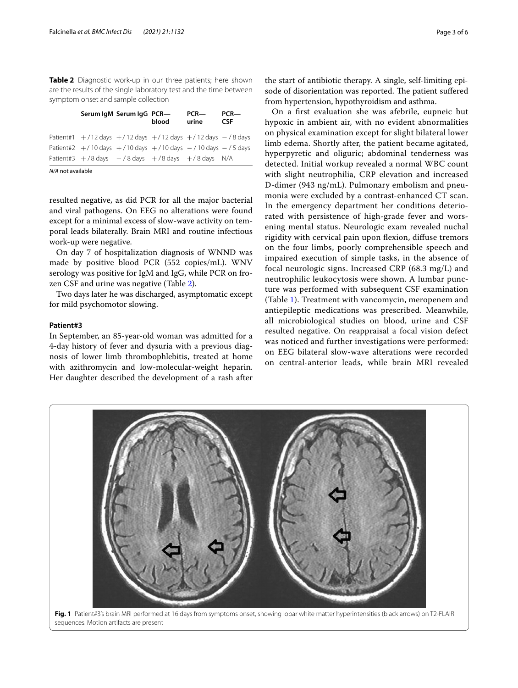<span id="page-2-0"></span>**Table 2** Diagnostic work-up in our three patients; here shown are the results of the single laboratory test and the time between symptom onset and sample collection

|                   |                                                            | Serum IgM Serum IgG PCR- | blood | $PCR$ —<br>urine | $PCR$ —<br><b>CSF</b> |
|-------------------|------------------------------------------------------------|--------------------------|-------|------------------|-----------------------|
|                   | Patient#1 +/12 days +/12 days +/12 days +/12 days -/8 days |                          |       |                  |                       |
|                   | Patient#2 +/10 days +/10 days +/10 days -/10 days -/5 days |                          |       |                  |                       |
|                   | Patient#3 $+/8$ days $-/8$ days $+/8$ days $+/8$ days N/A  |                          |       |                  |                       |
| N/A not available |                                                            |                          |       |                  |                       |

resulted negative, as did PCR for all the major bacterial and viral pathogens. On EEG no alterations were found except for a minimal excess of slow-wave activity on temporal leads bilaterally. Brain MRI and routine infectious work-up were negative.

On day 7 of hospitalization diagnosis of WNND was made by positive blood PCR (552 copies/mL). WNV serology was positive for IgM and IgG, while PCR on frozen CSF and urine was negative (Table [2\)](#page-2-0).

Two days later he was discharged, asymptomatic except for mild psychomotor slowing.

#### **Patient#3**

In September, an 85-year-old woman was admitted for a 4-day history of fever and dysuria with a previous diagnosis of lower limb thrombophlebitis, treated at home with azithromycin and low-molecular-weight heparin. Her daughter described the development of a rash after

<span id="page-2-1"></span>sequences. Motion artifacts are present

On a frst evaluation she was afebrile, eupneic but hypoxic in ambient air, with no evident abnormalities on physical examination except for slight bilateral lower limb edema. Shortly after, the patient became agitated, hyperpyretic and oliguric; abdominal tenderness was detected. Initial workup revealed a normal WBC count with slight neutrophilia, CRP elevation and increased D-dimer (943 ng/mL). Pulmonary embolism and pneumonia were excluded by a contrast-enhanced CT scan. In the emergency department her conditions deteriorated with persistence of high-grade fever and worsening mental status. Neurologic exam revealed nuchal rigidity with cervical pain upon fexion, difuse tremors on the four limbs, poorly comprehensible speech and impaired execution of simple tasks, in the absence of focal neurologic signs. Increased CRP (68.3 mg/L) and neutrophilic leukocytosis were shown. A lumbar puncture was performed with subsequent CSF examination (Table [1\)](#page-1-0). Treatment with vancomycin, meropenem and antiepileptic medications was prescribed. Meanwhile, all microbiological studies on blood, urine and CSF resulted negative. On reappraisal a focal vision defect was noticed and further investigations were performed: on EEG bilateral slow-wave alterations were recorded on central-anterior leads, while brain MRI revealed

**Fig. 1** Patient#3's brain MRI performed at 16 days from symptoms onset, showing lobar white matter hyperintensities (black arrows) on T2-FLAIR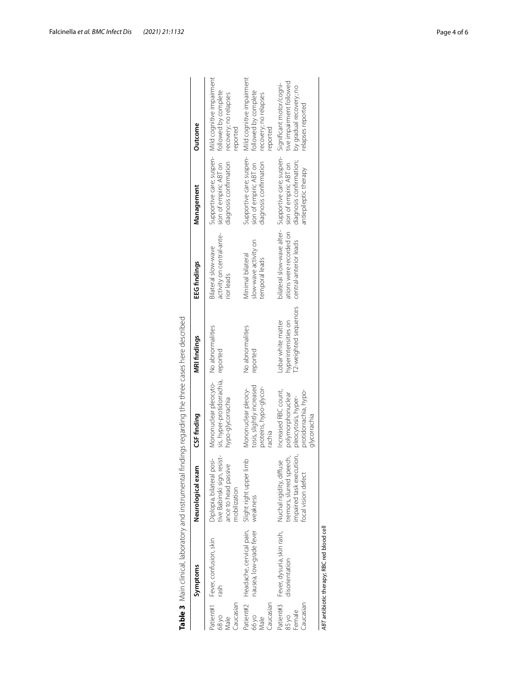|                              | Table 3 Main clinical, laboratory and instrumental findings regarding the three cases here described |                                                                                                         |                                                                                                           |                                                                    |                                                                          |                                                                                                                                |                                                                                                                 |
|------------------------------|------------------------------------------------------------------------------------------------------|---------------------------------------------------------------------------------------------------------|-----------------------------------------------------------------------------------------------------------|--------------------------------------------------------------------|--------------------------------------------------------------------------|--------------------------------------------------------------------------------------------------------------------------------|-----------------------------------------------------------------------------------------------------------------|
|                              | Symptoms                                                                                             | Neurological exam                                                                                       | CSF finding                                                                                               | <b>MRI findings</b>                                                | EEG findings                                                             | Management                                                                                                                     | Outcome                                                                                                         |
| Caucasian<br>68 yo<br>Vlale  | Patient#1 Fever, confusion, skin<br>rash                                                             | Diplopia, bilateral posi-<br>tive Babinski sign, resist-<br>ance to head passive<br>mobilization        | Mononuclear pleocyto- No abnormalities<br>sis, hyper-protidorrachia, reported<br>hypo-glycorrachia        |                                                                    | activity on central-ante-<br>Bilateral slow-wave<br>rior leads           | sion of empiric ABT on<br>diagnosis confirmation                                                                               | Supportive care; suspen- Mild cognitive impairment<br>followed by complete<br>recovery; no relapses<br>reported |
| aucasian.<br>66 yo<br>Male   | Patient#2 Headache, cervical pain, Slight right upper limb<br>nausea, low-grade fever                | weakness                                                                                                | tosis, slightly increased<br>proteins, hypo-glycor-<br>Mononuclear pleocy-<br>rachia                      | No abnormalities<br>reported                                       | slow-wave activity on<br>Minimal bilateral<br>temporal leads             | diagnosis confirmation<br>sion of empiric ABT on                                                                               | Supportive care; suspen- Mild cognitive impairment<br>followed by complete<br>recovery; no relapses<br>reported |
| Caucasian<br>Female<br>85 yo | Patient#3 Fever, dysuria, skin rash,<br>disorientation                                               | impaired task execution,<br>tremors, slurred speech,<br>Nuchal rigidity, diffuse<br>focal vision defect | protidorrachia, hypo-<br>Increased RBC count,<br>polymorphonuclear<br>pleocytosis, hyper-<br>glycorrachia | T2-weighted sequences<br>hyperintensities on<br>Lobar white matter | ations were recorded on sion of empiric ABT on<br>central-anterior leads | bilateral slow-wave alter-Supportive care; suspen-Significant motor/cogni-<br>diagnosis confirmation;<br>antiepileptic therapy | tive impairment followed<br>by gradual recovery; no<br>relapses reported                                        |
|                              | ABT antibiotic therapy; RBC red blood cell                                                           |                                                                                                         |                                                                                                           |                                                                    |                                                                          |                                                                                                                                |                                                                                                                 |

| i                              |                                                                                                                                                                                                                                                     |               |
|--------------------------------|-----------------------------------------------------------------------------------------------------------------------------------------------------------------------------------------------------------------------------------------------------|---------------|
|                                |                                                                                                                                                                                                                                                     |               |
|                                |                                                                                                                                                                                                                                                     |               |
|                                |                                                                                                                                                                                                                                                     |               |
|                                |                                                                                                                                                                                                                                                     |               |
|                                |                                                                                                                                                                                                                                                     |               |
|                                |                                                                                                                                                                                                                                                     |               |
|                                |                                                                                                                                                                                                                                                     |               |
|                                | - בתוכנית באלי של המונה מה במה המונה ביו במה המונה ביו לא המונה לא המונה לא המונה להוריק ביו לא המונה להוריק ל<br>ביו לא המונה המונה לא המונה לא המונה להוריק להוריק להוריק ביו להוריק להוריק ביו להוריק ביו להוריק ביו להוריק<br>hran casa hara di |               |
|                                |                                                                                                                                                                                                                                                     |               |
|                                |                                                                                                                                                                                                                                                     |               |
| 14 A + A + A + L               |                                                                                                                                                                                                                                                     |               |
|                                |                                                                                                                                                                                                                                                     |               |
| ミミイ                            |                                                                                                                                                                                                                                                     |               |
|                                |                                                                                                                                                                                                                                                     |               |
|                                | ומת רפו                                                                                                                                                                                                                                             | このリーのアミ       |
|                                |                                                                                                                                                                                                                                                     |               |
|                                |                                                                                                                                                                                                                                                     |               |
| $-10$                          |                                                                                                                                                                                                                                                     | $\frac{5}{1}$ |
|                                |                                                                                                                                                                                                                                                     |               |
|                                |                                                                                                                                                                                                                                                     |               |
| י הוא הידי ומח הוא             |                                                                                                                                                                                                                                                     |               |
|                                |                                                                                                                                                                                                                                                     |               |
|                                |                                                                                                                                                                                                                                                     |               |
|                                |                                                                                                                                                                                                                                                     |               |
|                                | wy and monitoring                                                                                                                                                                                                                                   |               |
|                                |                                                                                                                                                                                                                                                     |               |
|                                |                                                                                                                                                                                                                                                     |               |
|                                |                                                                                                                                                                                                                                                     |               |
|                                |                                                                                                                                                                                                                                                     |               |
|                                |                                                                                                                                                                                                                                                     |               |
|                                |                                                                                                                                                                                                                                                     |               |
| ble 3 Main dinical, laboratory |                                                                                                                                                                                                                                                     |               |
|                                |                                                                                                                                                                                                                                                     |               |
|                                |                                                                                                                                                                                                                                                     |               |
|                                |                                                                                                                                                                                                                                                     |               |
|                                |                                                                                                                                                                                                                                                     |               |
|                                |                                                                                                                                                                                                                                                     |               |

<span id="page-3-0"></span>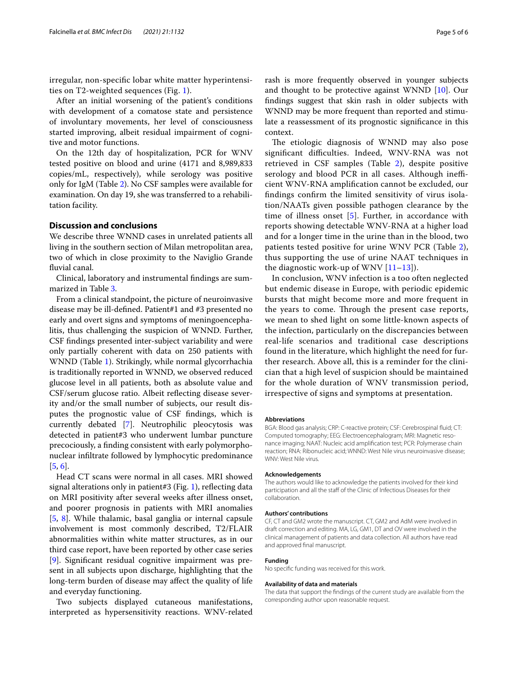irregular, non-specifc lobar white matter hyperintensities on T2-weighted sequences (Fig. [1\)](#page-2-1).

After an initial worsening of the patient's conditions with development of a comatose state and persistence of involuntary movements, her level of consciousness started improving, albeit residual impairment of cognitive and motor functions.

On the 12th day of hospitalization, PCR for WNV tested positive on blood and urine (4171 and 8,989,833 copies/mL, respectively), while serology was positive only for IgM (Table [2\)](#page-2-0). No CSF samples were available for examination. On day 19, she was transferred to a rehabilitation facility.

### **Discussion and conclusions**

We describe three WNND cases in unrelated patients all living in the southern section of Milan metropolitan area, two of which in close proximity to the Naviglio Grande fuvial canal.

Clinical, laboratory and instrumental fndings are summarized in Table [3](#page-3-0).

From a clinical standpoint, the picture of neuroinvasive disease may be ill-defned. Patient#1 and #3 presented no early and overt signs and symptoms of meningoencephalitis, thus challenging the suspicion of WNND. Further, CSF fndings presented inter-subject variability and were only partially coherent with data on 250 patients with WNND (Table [1](#page-1-0)). Strikingly, while normal glycorrhachia is traditionally reported in WNND, we observed reduced glucose level in all patients, both as absolute value and CSF/serum glucose ratio. Albeit refecting disease severity and/or the small number of subjects, our result disputes the prognostic value of CSF fndings, which is currently debated [\[7](#page-5-6)]. Neutrophilic pleocytosis was detected in patient#3 who underwent lumbar puncture precociously, a fnding consistent with early polymorphonuclear infltrate followed by lymphocytic predominance [[5,](#page-5-4) [6](#page-5-5)].

Head CT scans were normal in all cases. MRI showed signal alterations only in patient#3 (Fig. [1](#page-2-1)), reflecting data on MRI positivity after several weeks after illness onset, and poorer prognosis in patients with MRI anomalies [[5,](#page-5-4) [8\]](#page-5-7). While thalamic, basal ganglia or internal capsule involvement is most commonly described, T2/FLAIR abnormalities within white matter structures, as in our third case report, have been reported by other case series [[9\]](#page-5-8). Signifcant residual cognitive impairment was present in all subjects upon discharge, highlighting that the long-term burden of disease may afect the quality of life and everyday functioning.

Two subjects displayed cutaneous manifestations, interpreted as hypersensitivity reactions. WNV-related rash is more frequently observed in younger subjects

and thought to be protective against WNND [[10](#page-5-9)]. Our fndings suggest that skin rash in older subjects with WNND may be more frequent than reported and stimulate a reassessment of its prognostic signifcance in this context.

The etiologic diagnosis of WNND may also pose significant difficulties. Indeed, WNV-RNA was not retrieved in CSF samples (Table [2\)](#page-2-0), despite positive serology and blood PCR in all cases. Although inefficient WNV-RNA amplifcation cannot be excluded, our fndings confrm the limited sensitivity of virus isolation/NAATs given possible pathogen clearance by the time of illness onset [\[5](#page-5-4)]. Further, in accordance with reports showing detectable WNV-RNA at a higher load and for a longer time in the urine than in the blood, two patients tested positive for urine WNV PCR (Table [2](#page-2-0)), thus supporting the use of urine NAAT techniques in the diagnostic work-up of WNV  $[11–13]$  $[11–13]$  $[11–13]$ ).

In conclusion, WNV infection is a too often neglected but endemic disease in Europe, with periodic epidemic bursts that might become more and more frequent in the years to come. Through the present case reports, we mean to shed light on some little-known aspects of the infection, particularly on the discrepancies between real-life scenarios and traditional case descriptions found in the literature, which highlight the need for further research. Above all, this is a reminder for the clinician that a high level of suspicion should be maintained for the whole duration of WNV transmission period, irrespective of signs and symptoms at presentation.

#### **Abbreviations**

BGA: Blood gas analysis; CRP: C-reactive protein; CSF: Cerebrospinal fuid; CT: Computed tomography; EEG: Electroencephalogram; MRI: Magnetic resonance imaging; NAAT: Nucleic acid amplifcation test; PCR: Polymerase chain reaction; RNA: Ribonucleic acid; WNND: West Nile virus neuroinvasive disease; WNV: West Nile virus.

#### **Acknowledgements**

The authors would like to acknowledge the patients involved for their kind participation and all the staff of the Clinic of Infectious Diseases for their collaboration.

#### **Authors' contributions**

CF, CT and GM2 wrote the manuscript. CT, GM2 and AdM were involved in draft correction and editing. MA, LG, GM1, DT and OV were involved in the clinical management of patients and data collection. All authors have read and approved fnal manuscript.

#### **Funding**

No specifc funding was received for this work.

#### **Availability of data and materials**

The data that support the fndings of the current study are available from the corresponding author upon reasonable request.